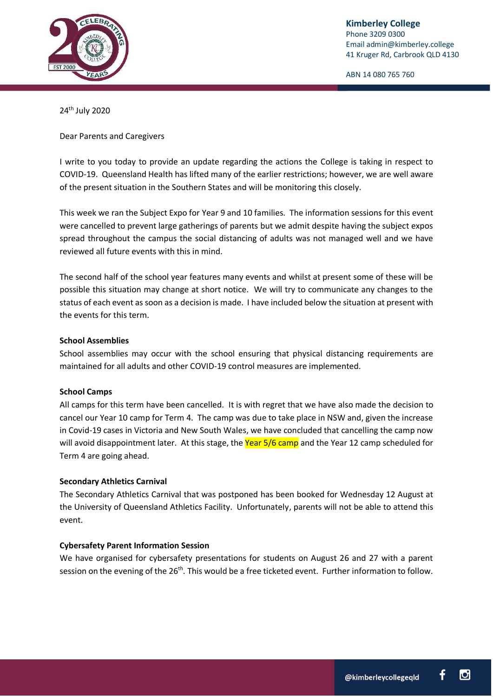

ABN 14 080 765 760

24th July 2020

Dear Parents and Caregivers

I write to you today to provide an update regarding the actions the College is taking in respect to COVID-19. Queensland Health has lifted many of the earlier restrictions; however, we are well aware of the present situation in the Southern States and will be monitoring this closely.

This week we ran the Subject Expo for Year 9 and 10 families. The information sessions for this event were cancelled to prevent large gatherings of parents but we admit despite having the subject expos spread throughout the campus the social distancing of adults was not managed well and we have reviewed all future events with this in mind.

The second half of the school year features many events and whilst at present some of these will be possible this situation may change at short notice. We will try to communicate any changes to the status of each event as soon as a decision is made. I have included below the situation at present with the events for this term.

## **School Assemblies**

School assemblies may occur with the school ensuring that physical distancing requirements are maintained for all adults and other COVID-19 control measures are implemented.

## **School Camps**

All camps for this term have been cancelled. It is with regret that we have also made the decision to cancel our Year 10 camp for Term 4. The camp was due to take place in NSW and, given the increase in Covid-19 cases in Victoria and New South Wales, we have concluded that cancelling the camp now will avoid disappointment later. At this stage, the Year 5/6 camp and the Year 12 camp scheduled for Term 4 are going ahead.

## **Secondary Athletics Carnival**

The Secondary Athletics Carnival that was postponed has been booked for Wednesday 12 August at the University of Queensland Athletics Facility. Unfortunately, parents will not be able to attend this event.

## **Cybersafety Parent Information Session**

We have organised for cybersafety presentations for students on August 26 and 27 with a parent session on the evening of the 26<sup>th</sup>. This would be a free ticketed event. Further information to follow.